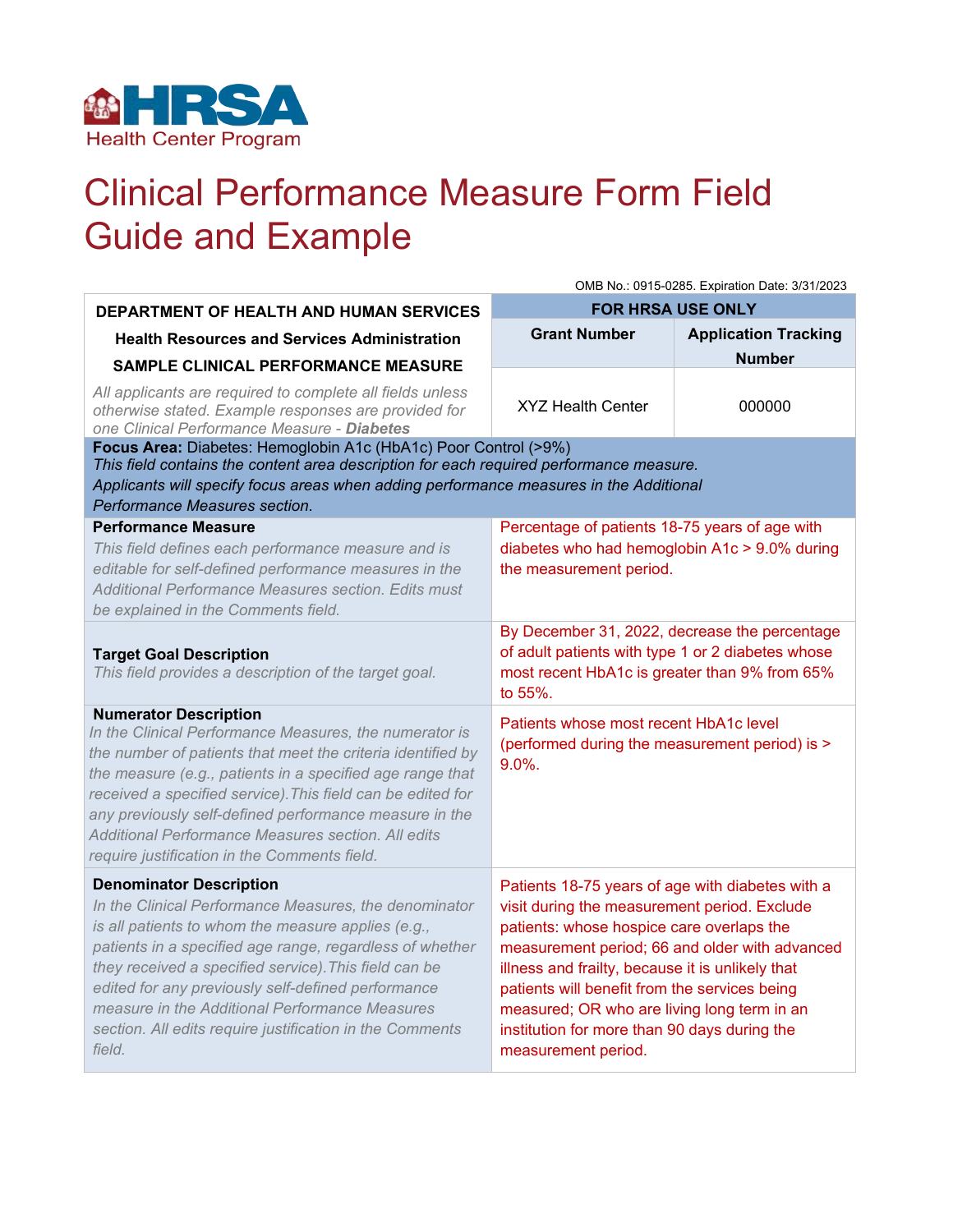

## Clinical Performance Measure Form Field Guide and Example

|                                                                                                                                                                                                                                                                                                                                                                                                                                                   | OMB No.: 0915-0285. Expiration Date: 3/31/2023                                                                                                                                                                                                                                                                                                                                                                             |                             |  |  |
|---------------------------------------------------------------------------------------------------------------------------------------------------------------------------------------------------------------------------------------------------------------------------------------------------------------------------------------------------------------------------------------------------------------------------------------------------|----------------------------------------------------------------------------------------------------------------------------------------------------------------------------------------------------------------------------------------------------------------------------------------------------------------------------------------------------------------------------------------------------------------------------|-----------------------------|--|--|
| <b>DEPARTMENT OF HEALTH AND HUMAN SERVICES</b>                                                                                                                                                                                                                                                                                                                                                                                                    | <b>FOR HRSA USE ONLY</b>                                                                                                                                                                                                                                                                                                                                                                                                   |                             |  |  |
| <b>Health Resources and Services Administration</b>                                                                                                                                                                                                                                                                                                                                                                                               | <b>Grant Number</b>                                                                                                                                                                                                                                                                                                                                                                                                        | <b>Application Tracking</b> |  |  |
| <b>SAMPLE CLINICAL PERFORMANCE MEASURE</b>                                                                                                                                                                                                                                                                                                                                                                                                        |                                                                                                                                                                                                                                                                                                                                                                                                                            | <b>Number</b>               |  |  |
| All applicants are required to complete all fields unless<br>otherwise stated. Example responses are provided for<br>one Clinical Performance Measure - Diabetes                                                                                                                                                                                                                                                                                  | <b>XYZ Health Center</b>                                                                                                                                                                                                                                                                                                                                                                                                   | 000000                      |  |  |
| Focus Area: Diabetes: Hemoglobin A1c (HbA1c) Poor Control (>9%)<br>This field contains the content area description for each required performance measure.<br>Applicants will specify focus areas when adding performance measures in the Additional<br>Performance Measures section.                                                                                                                                                             |                                                                                                                                                                                                                                                                                                                                                                                                                            |                             |  |  |
| <b>Performance Measure</b><br>This field defines each performance measure and is<br>editable for self-defined performance measures in the<br>Additional Performance Measures section. Edits must<br>be explained in the Comments field.                                                                                                                                                                                                           | Percentage of patients 18-75 years of age with<br>diabetes who had hemoglobin A1c > 9.0% during<br>the measurement period.                                                                                                                                                                                                                                                                                                 |                             |  |  |
| <b>Target Goal Description</b><br>This field provides a description of the target goal.                                                                                                                                                                                                                                                                                                                                                           | By December 31, 2022, decrease the percentage<br>of adult patients with type 1 or 2 diabetes whose<br>most recent HbA1c is greater than 9% from 65%<br>to 55%.                                                                                                                                                                                                                                                             |                             |  |  |
| <b>Numerator Description</b><br>In the Clinical Performance Measures, the numerator is<br>the number of patients that meet the criteria identified by<br>the measure (e.g., patients in a specified age range that<br>received a specified service). This field can be edited for<br>any previously self-defined performance measure in the<br>Additional Performance Measures section. All edits<br>require justification in the Comments field. | Patients whose most recent HbA1c level<br>(performed during the measurement period) is ><br>$9.0\%$ .                                                                                                                                                                                                                                                                                                                      |                             |  |  |
| <b>Denominator Description</b><br>In the Clinical Performance Measures, the denominator<br>is all patients to whom the measure applies (e.g.,<br>patients in a specified age range, regardless of whether<br>they received a specified service). This field can be<br>edited for any previously self-defined performance<br>measure in the Additional Performance Measures<br>section. All edits require justification in the Comments<br>field.  | Patients 18-75 years of age with diabetes with a<br>visit during the measurement period. Exclude<br>patients: whose hospice care overlaps the<br>measurement period; 66 and older with advanced<br>illness and frailty, because it is unlikely that<br>patients will benefit from the services being<br>measured; OR who are living long term in an<br>institution for more than 90 days during the<br>measurement period. |                             |  |  |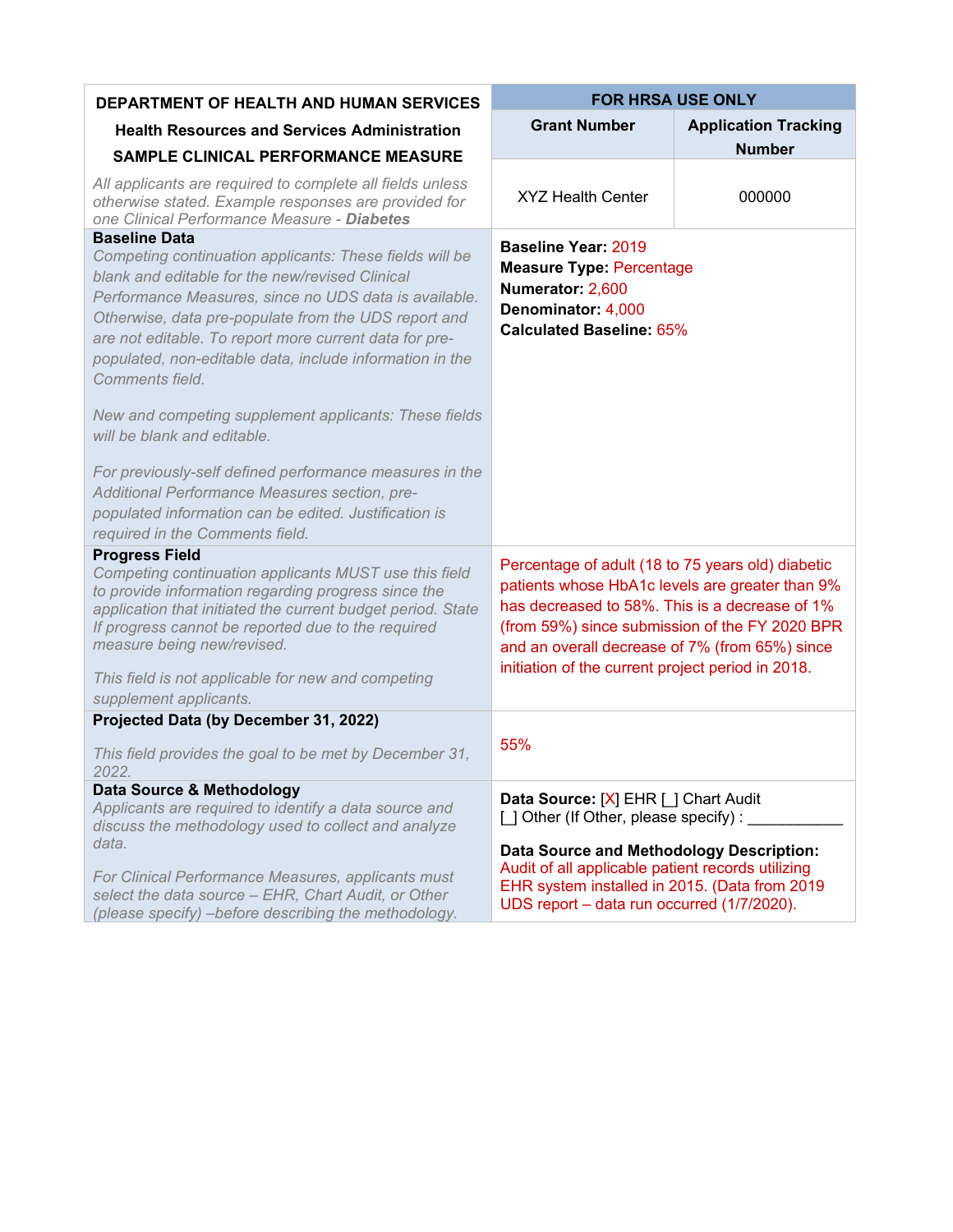| <b>DEPARTMENT OF HEALTH AND HUMAN SERVICES</b>                                                                                                                                                                                                                                                                                                                                               | <b>FOR HRSA USE ONLY</b>                                                                                                                                                                                                                                                                                        |                             |
|----------------------------------------------------------------------------------------------------------------------------------------------------------------------------------------------------------------------------------------------------------------------------------------------------------------------------------------------------------------------------------------------|-----------------------------------------------------------------------------------------------------------------------------------------------------------------------------------------------------------------------------------------------------------------------------------------------------------------|-----------------------------|
| <b>Health Resources and Services Administration</b>                                                                                                                                                                                                                                                                                                                                          | <b>Grant Number</b>                                                                                                                                                                                                                                                                                             | <b>Application Tracking</b> |
| <b>SAMPLE CLINICAL PERFORMANCE MEASURE</b>                                                                                                                                                                                                                                                                                                                                                   |                                                                                                                                                                                                                                                                                                                 | <b>Number</b>               |
| All applicants are required to complete all fields unless<br>otherwise stated. Example responses are provided for<br>one Clinical Performance Measure - Diabetes                                                                                                                                                                                                                             | <b>XYZ Health Center</b>                                                                                                                                                                                                                                                                                        | 000000                      |
| <b>Baseline Data</b><br>Competing continuation applicants: These fields will be<br>blank and editable for the new/revised Clinical<br>Performance Measures, since no UDS data is available.<br>Otherwise, data pre-populate from the UDS report and<br>are not editable. To report more current data for pre-<br>populated, non-editable data, include information in the<br>Comments field. | <b>Baseline Year: 2019</b><br><b>Measure Type: Percentage</b><br>Numerator: 2,600<br>Denominator: 4,000<br><b>Calculated Baseline: 65%</b>                                                                                                                                                                      |                             |
| New and competing supplement applicants: These fields<br>will be blank and editable.                                                                                                                                                                                                                                                                                                         |                                                                                                                                                                                                                                                                                                                 |                             |
| For previously-self defined performance measures in the<br>Additional Performance Measures section, pre-<br>populated information can be edited. Justification is<br>required in the Comments field.                                                                                                                                                                                         |                                                                                                                                                                                                                                                                                                                 |                             |
| <b>Progress Field</b><br>Competing continuation applicants MUST use this field<br>to provide information regarding progress since the<br>application that initiated the current budget period. State<br>If progress cannot be reported due to the required<br>measure being new/revised.<br>This field is not applicable for new and competing<br>supplement applicants.                     | Percentage of adult (18 to 75 years old) diabetic<br>patients whose HbA1c levels are greater than 9%<br>has decreased to 58%. This is a decrease of 1%<br>(from 59%) since submission of the FY 2020 BPR<br>and an overall decrease of 7% (from 65%) since<br>initiation of the current project period in 2018. |                             |
| Projected Data (by December 31, 2022)                                                                                                                                                                                                                                                                                                                                                        |                                                                                                                                                                                                                                                                                                                 |                             |
| This field provides the goal to be met by December 31,<br>2022.                                                                                                                                                                                                                                                                                                                              | 55%                                                                                                                                                                                                                                                                                                             |                             |
| Data Source & Methodology<br>Applicants are required to identify a data source and<br>discuss the methodology used to collect and analyze                                                                                                                                                                                                                                                    | Data Source: [X] EHR [ ] Chart Audit<br>[ ] Other (If Other, please specify) :                                                                                                                                                                                                                                  |                             |
| data.<br>For Clinical Performance Measures, applicants must<br>select the data source - EHR, Chart Audit, or Other<br>(please specify) - before describing the methodology.                                                                                                                                                                                                                  | <b>Data Source and Methodology Description:</b><br>Audit of all applicable patient records utilizing<br>EHR system installed in 2015. (Data from 2019<br>UDS report - data run occurred (1/7/2020).                                                                                                             |                             |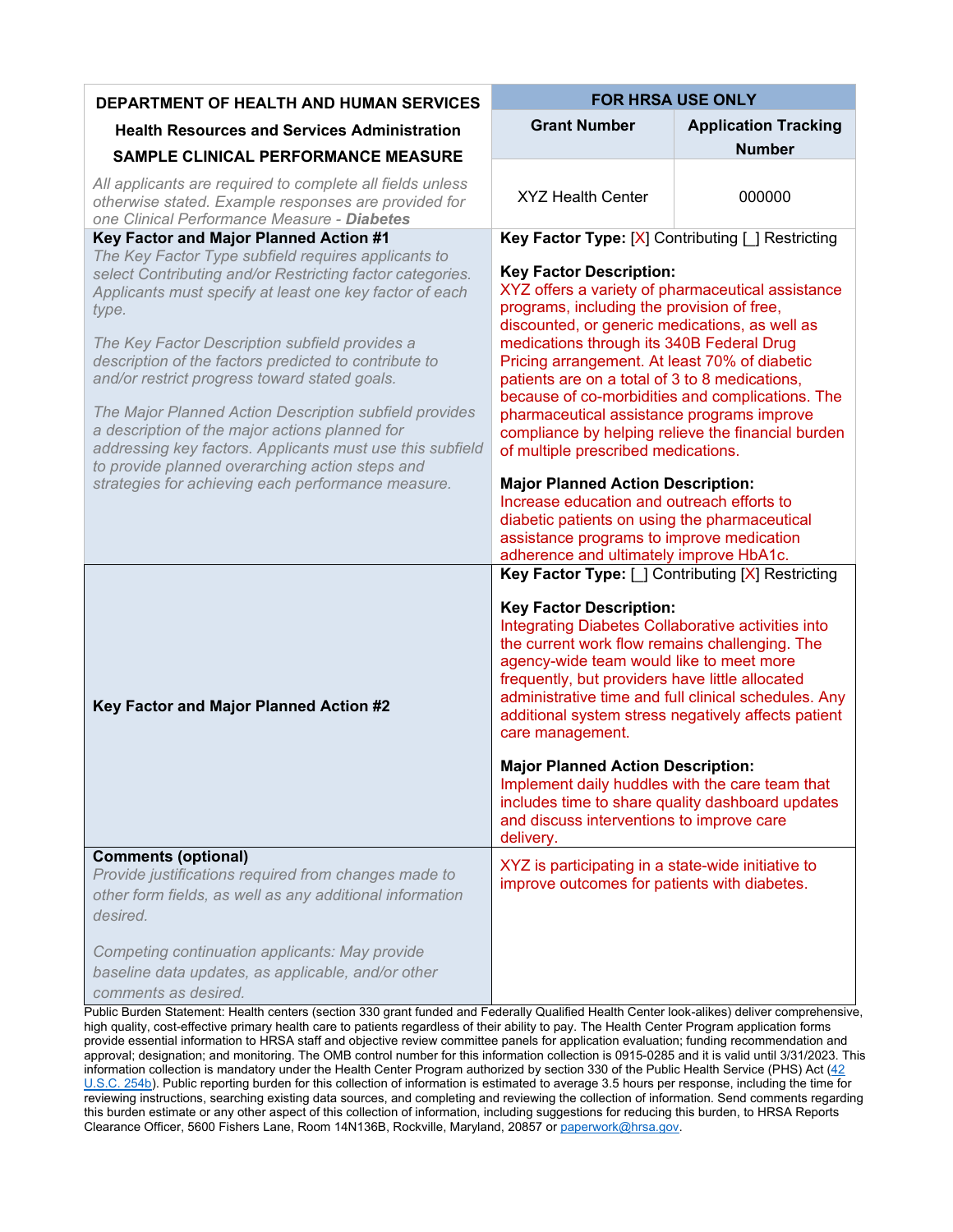| <b>DEPARTMENT OF HEALTH AND HUMAN SERVICES</b>                                                                                                                                                                                                                                                                                                      | <b>FOR HRSA USE ONLY</b>                                                                                                                                                                                                                                                                                                                                                                                                                                                                                                           |                             |
|-----------------------------------------------------------------------------------------------------------------------------------------------------------------------------------------------------------------------------------------------------------------------------------------------------------------------------------------------------|------------------------------------------------------------------------------------------------------------------------------------------------------------------------------------------------------------------------------------------------------------------------------------------------------------------------------------------------------------------------------------------------------------------------------------------------------------------------------------------------------------------------------------|-----------------------------|
| <b>Health Resources and Services Administration</b>                                                                                                                                                                                                                                                                                                 | <b>Grant Number</b>                                                                                                                                                                                                                                                                                                                                                                                                                                                                                                                | <b>Application Tracking</b> |
| SAMPLE CLINICAL PERFORMANCE MEASURE                                                                                                                                                                                                                                                                                                                 |                                                                                                                                                                                                                                                                                                                                                                                                                                                                                                                                    | <b>Number</b>               |
| All applicants are required to complete all fields unless<br>otherwise stated. Example responses are provided for<br>one Clinical Performance Measure - Diabetes                                                                                                                                                                                    | <b>XYZ Health Center</b>                                                                                                                                                                                                                                                                                                                                                                                                                                                                                                           | 000000                      |
| Key Factor and Major Planned Action #1<br>The Key Factor Type subfield requires applicants to                                                                                                                                                                                                                                                       | Key Factor Type: [X] Contributing [ ] Restricting                                                                                                                                                                                                                                                                                                                                                                                                                                                                                  |                             |
| select Contributing and/or Restricting factor categories.<br>Applicants must specify at least one key factor of each<br>type.<br>The Key Factor Description subfield provides a<br>description of the factors predicted to contribute to<br>and/or restrict progress toward stated goals.<br>The Major Planned Action Description subfield provides | <b>Key Factor Description:</b><br>XYZ offers a variety of pharmaceutical assistance<br>programs, including the provision of free,<br>discounted, or generic medications, as well as<br>medications through its 340B Federal Drug<br>Pricing arrangement. At least 70% of diabetic<br>patients are on a total of 3 to 8 medications,<br>because of co-morbidities and complications. The<br>pharmaceutical assistance programs improve<br>compliance by helping relieve the financial burden<br>of multiple prescribed medications. |                             |
| a description of the major actions planned for<br>addressing key factors. Applicants must use this subfield<br>to provide planned overarching action steps and                                                                                                                                                                                      |                                                                                                                                                                                                                                                                                                                                                                                                                                                                                                                                    |                             |
| strategies for achieving each performance measure.                                                                                                                                                                                                                                                                                                  | <b>Major Planned Action Description:</b><br>Increase education and outreach efforts to<br>diabetic patients on using the pharmaceutical<br>assistance programs to improve medication<br>adherence and ultimately improve HbA1c.                                                                                                                                                                                                                                                                                                    |                             |
|                                                                                                                                                                                                                                                                                                                                                     | Key Factor Type: [ ] Contributing [X] Restricting                                                                                                                                                                                                                                                                                                                                                                                                                                                                                  |                             |
| Key Factor and Major Planned Action #2                                                                                                                                                                                                                                                                                                              | <b>Key Factor Description:</b><br>Integrating Diabetes Collaborative activities into<br>the current work flow remains challenging. The<br>agency-wide team would like to meet more<br>frequently, but providers have little allocated<br>administrative time and full clinical schedules. Any<br>additional system stress negatively affects patient<br>care management.                                                                                                                                                           |                             |
|                                                                                                                                                                                                                                                                                                                                                     | <b>Major Planned Action Description:</b><br>Implement daily huddles with the care team that<br>includes time to share quality dashboard updates<br>and discuss interventions to improve care<br>delivery.                                                                                                                                                                                                                                                                                                                          |                             |
| <b>Comments (optional)</b><br>Provide justifications required from changes made to<br>other form fields, as well as any additional information<br>desired.                                                                                                                                                                                          | XYZ is participating in a state-wide initiative to<br>improve outcomes for patients with diabetes.                                                                                                                                                                                                                                                                                                                                                                                                                                 |                             |
| Competing continuation applicants: May provide<br>baseline data updates, as applicable, and/or other<br>comments as desired.<br>Public Burden Statement: Health centers (section 330 grapt funded and Eederally Qualified Health Center look-alikes) deliver comprehensive                                                                          |                                                                                                                                                                                                                                                                                                                                                                                                                                                                                                                                    |                             |

lurden Statement: Health centers (section 330 grant funded and Federally Qualified Health Center look-alikes) deliver comprehensive, high quality, cost-effective primary health care to patients regardless of their ability to pay. The Health Center Program application forms provide essential information to HRSA staff and objective review committee panels for application evaluation; funding recommendation and approval; designation; and monitoring. The OMB control number for this information collection is 0915-0285 and it is valid until 3/31/2023. This information collection is mandatory under the Health Center Program authorized by section 330 of the Public Health Service (PHS) Act (42 [U.S.C. 254b\)](http://uscode.house.gov/view.xhtml?req=granuleid:USC-prelim-title42-section254b&num=0&edition=prelim). Public reporting burden for this collection of information is estimated to average 3.5 hours per response, including the time for reviewing instructions, searching existing data sources, and completing and reviewing the collection of information. Send comments regarding this burden estimate or any other aspect of this collection of information, including suggestions for reducing this burden, to HRSA Reports Clearance Officer, 5600 Fishers Lane, Room 14N136B, Rockville, Maryland, 20857 or paperwork@hrsa.gov.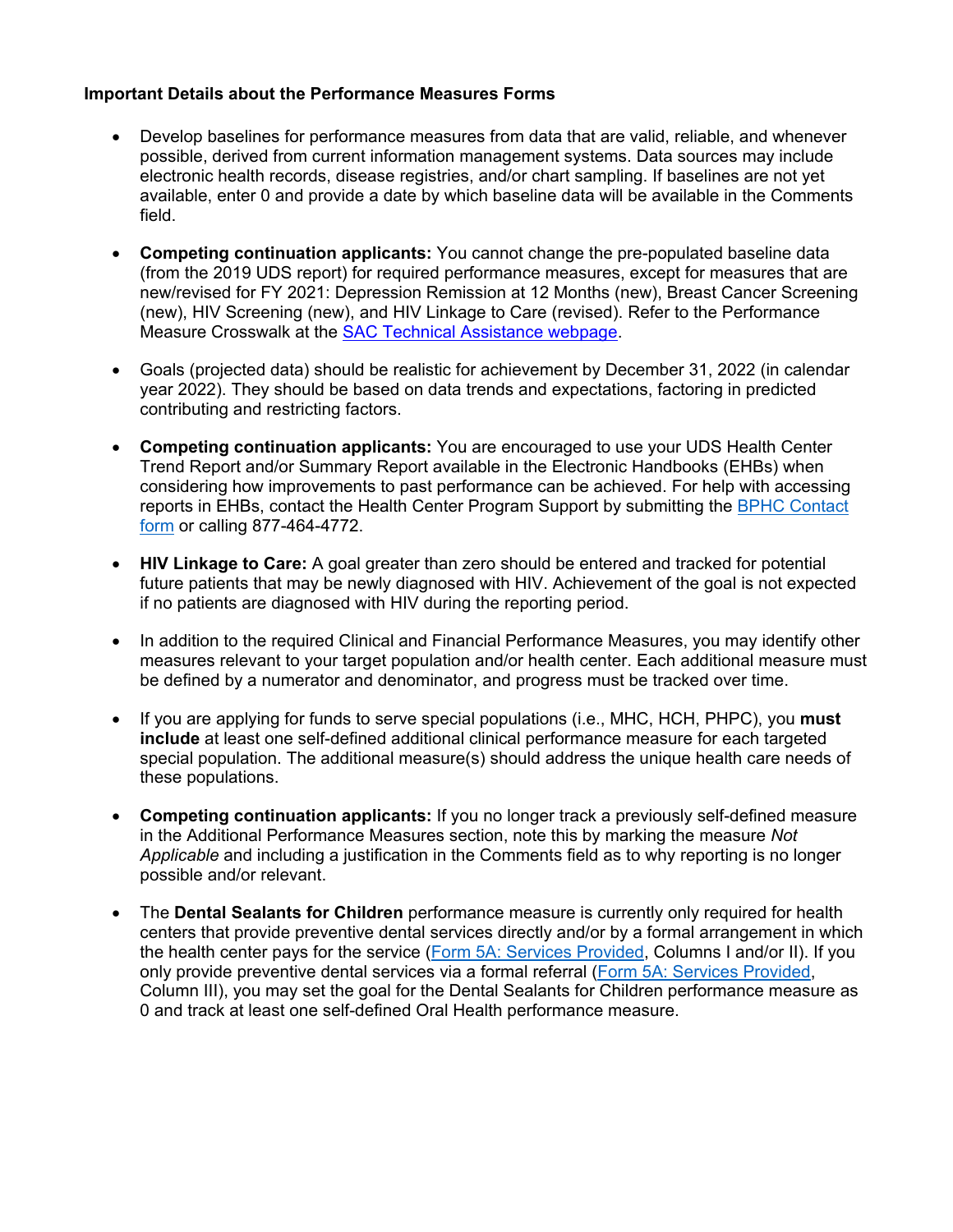## **Important Details about the Performance Measures Forms**

- Develop baselines for performance measures from data that are valid, reliable, and whenever possible, derived from current information management systems. Data sources may include electronic health records, disease registries, and/or chart sampling. If baselines are not yet available, enter 0 and provide a date by which baseline data will be available in the Comments field.
- **Competing continuation applicants:** You cannot change the pre-populated baseline data (from the 2019 UDS report) for required performance measures, except for measures that are new/revised for FY 2021: Depression Remission at 12 Months (new), Breast Cancer Screening (new), HIV Screening (new), and HIV Linkage to Care (revised). Refer to the Performance Measure Crosswalk at the [SAC Technical Assistance webpage.](https://bphc.hrsa.gov/program-opportunities/sac)
- Goals (projected data) should be realistic for achievement by December 31, 2022 (in calendar year 2022). They should be based on data trends and expectations, factoring in predicted contributing and restricting factors.
- **Competing continuation applicants:** You are encouraged to use your UDS Health Center Trend Report and/or Summary Report available in the Electronic Handbooks (EHBs) when considering how improvements to past performance can be achieved. For help with accessing reports in EHBs, contact the Health Center Program Support by submitting the [BPHC Contact](https://bphccommunications.secure.force.com/ContactBPHC/BPHC_Contact_Form)  [form](https://bphccommunications.secure.force.com/ContactBPHC/BPHC_Contact_Form) or calling 877-464-4772.
- **HIV Linkage to Care:** A goal greater than zero should be entered and tracked for potential future patients that may be newly diagnosed with HIV. Achievement of the goal is not expected if no patients are diagnosed with HIV during the reporting period.
- In addition to the required Clinical and Financial Performance Measures, you may identify other measures relevant to your target population and/or health center. Each additional measure must be defined by a numerator and denominator, and progress must be tracked over time.
- If you are applying for funds to serve special populations (i.e., MHC, HCH, PHPC), you **must include** at least one self-defined additional clinical performance measure for each targeted special population. The additional measure(s) should address the unique health care needs of these populations.
- **Competing continuation applicants:** If you no longer track a previously self-defined measure in the Additional Performance Measures section, note this by marking the measure *Not Applicable* and including a justification in the Comments field as to why reporting is no longer possible and/or relevant.
- The **Dental Sealants for Children** performance measure is currently only required for health centers that provide preventive dental services directly and/or by a formal arrangement in which the health center pays for the service [\(Form 5A: Services Provided,](https://bphc.hrsa.gov/programopportunities/fundingopportunities/SAC/index.html) Columns I and/or II). If you only provide preventive dental services via a formal referral [\(Form 5A: Services Provided,](https://bphc.hrsa.gov/programopportunities/fundingopportunities/SAC/index.html) Column III), you may set the goal for the Dental Sealants for Children performance measure as 0 and track at least one self-defined Oral Health performance measure.